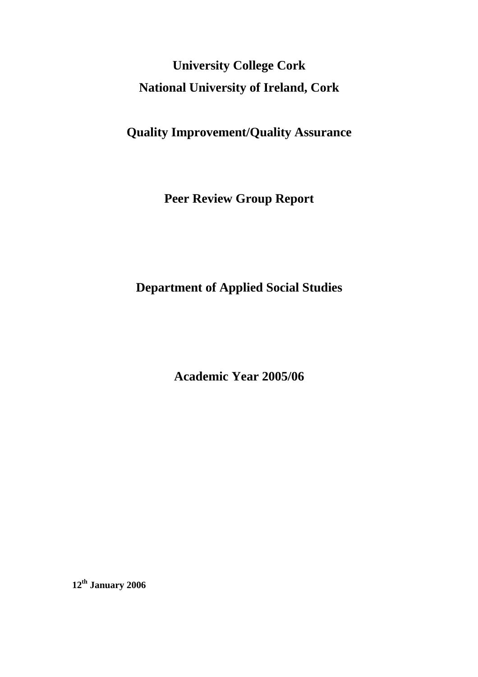# **University College Cork National University of Ireland, Cork**

## **Quality Improvement/Quality Assurance**

**Peer Review Group Report** 

### **Department of Applied Social Studies**

**Academic Year 2005/06** 

**12th January 2006**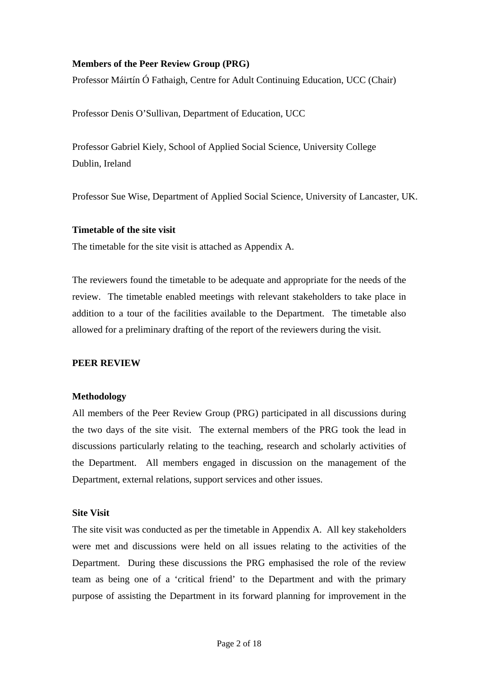#### **Members of the Peer Review Group (PRG)**

Professor Máirtín Ó Fathaigh, Centre for Adult Continuing Education, UCC (Chair)

Professor Denis O'Sullivan, Department of Education, UCC

Professor Gabriel Kiely, School of Applied Social Science, University College Dublin, Ireland

Professor Sue Wise, Department of Applied Social Science, University of Lancaster, UK.

#### **Timetable of the site visit**

The timetable for the site visit is attached as Appendix A.

The reviewers found the timetable to be adequate and appropriate for the needs of the review. The timetable enabled meetings with relevant stakeholders to take place in addition to a tour of the facilities available to the Department. The timetable also allowed for a preliminary drafting of the report of the reviewers during the visit.

#### **PEER REVIEW**

#### **Methodology**

All members of the Peer Review Group (PRG) participated in all discussions during the two days of the site visit. The external members of the PRG took the lead in discussions particularly relating to the teaching, research and scholarly activities of the Department. All members engaged in discussion on the management of the Department, external relations, support services and other issues.

#### **Site Visit**

The site visit was conducted as per the timetable in Appendix A. All key stakeholders were met and discussions were held on all issues relating to the activities of the Department. During these discussions the PRG emphasised the role of the review team as being one of a 'critical friend' to the Department and with the primary purpose of assisting the Department in its forward planning for improvement in the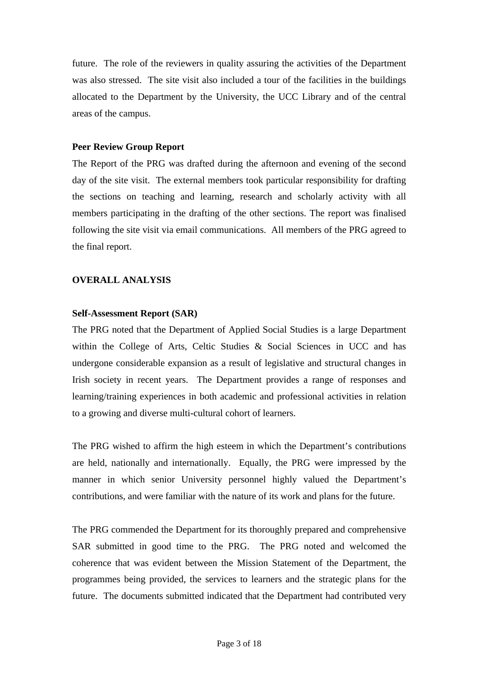future. The role of the reviewers in quality assuring the activities of the Department was also stressed. The site visit also included a tour of the facilities in the buildings allocated to the Department by the University, the UCC Library and of the central areas of the campus.

#### **Peer Review Group Report**

The Report of the PRG was drafted during the afternoon and evening of the second day of the site visit. The external members took particular responsibility for drafting the sections on teaching and learning, research and scholarly activity with all members participating in the drafting of the other sections. The report was finalised following the site visit via email communications. All members of the PRG agreed to the final report.

#### **OVERALL ANALYSIS**

#### **Self-Assessment Report (SAR)**

The PRG noted that the Department of Applied Social Studies is a large Department within the College of Arts, Celtic Studies & Social Sciences in UCC and has undergone considerable expansion as a result of legislative and structural changes in Irish society in recent years. The Department provides a range of responses and learning/training experiences in both academic and professional activities in relation to a growing and diverse multi-cultural cohort of learners.

The PRG wished to affirm the high esteem in which the Department's contributions are held, nationally and internationally. Equally, the PRG were impressed by the manner in which senior University personnel highly valued the Department's contributions, and were familiar with the nature of its work and plans for the future.

The PRG commended the Department for its thoroughly prepared and comprehensive SAR submitted in good time to the PRG. The PRG noted and welcomed the coherence that was evident between the Mission Statement of the Department, the programmes being provided, the services to learners and the strategic plans for the future. The documents submitted indicated that the Department had contributed very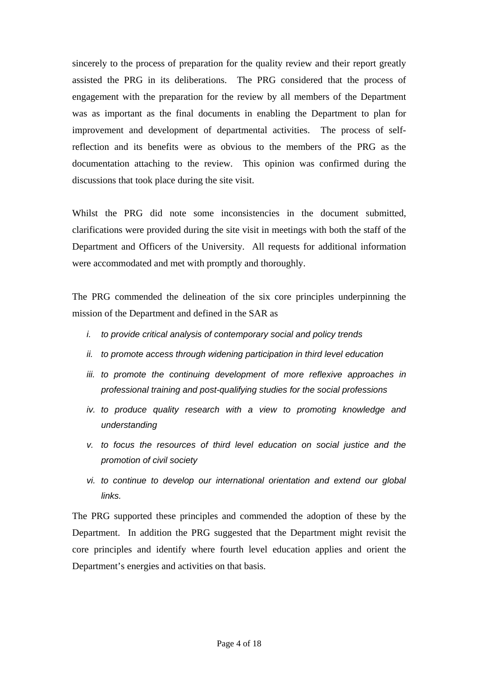sincerely to the process of preparation for the quality review and their report greatly assisted the PRG in its deliberations. The PRG considered that the process of engagement with the preparation for the review by all members of the Department was as important as the final documents in enabling the Department to plan for improvement and development of departmental activities. The process of selfreflection and its benefits were as obvious to the members of the PRG as the documentation attaching to the review. This opinion was confirmed during the discussions that took place during the site visit.

Whilst the PRG did note some inconsistencies in the document submitted, clarifications were provided during the site visit in meetings with both the staff of the Department and Officers of the University. All requests for additional information were accommodated and met with promptly and thoroughly.

The PRG commended the delineation of the six core principles underpinning the mission of the Department and defined in the SAR as

- *i. to provide critical analysis of contemporary social and policy trends*
- *ii. to promote access through widening participation in third level education*
- *iii. to promote the continuing development of more reflexive approaches in professional training and post-qualifying studies for the social professions*
- *iv. to produce quality research with a view to promoting knowledge and understanding*
- *v. to focus the resources of third level education on social justice and the promotion of civil society*
- *vi. to continue to develop our international orientation and extend our global links.*

The PRG supported these principles and commended the adoption of these by the Department. In addition the PRG suggested that the Department might revisit the core principles and identify where fourth level education applies and orient the Department's energies and activities on that basis.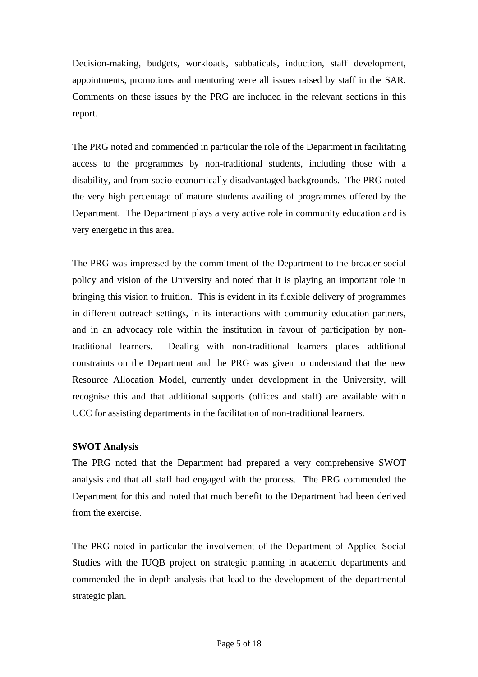Decision-making, budgets, workloads, sabbaticals, induction, staff development, appointments, promotions and mentoring were all issues raised by staff in the SAR. Comments on these issues by the PRG are included in the relevant sections in this report.

The PRG noted and commended in particular the role of the Department in facilitating access to the programmes by non-traditional students, including those with a disability, and from socio-economically disadvantaged backgrounds. The PRG noted the very high percentage of mature students availing of programmes offered by the Department. The Department plays a very active role in community education and is very energetic in this area.

The PRG was impressed by the commitment of the Department to the broader social policy and vision of the University and noted that it is playing an important role in bringing this vision to fruition. This is evident in its flexible delivery of programmes in different outreach settings, in its interactions with community education partners, and in an advocacy role within the institution in favour of participation by nontraditional learners. Dealing with non-traditional learners places additional constraints on the Department and the PRG was given to understand that the new Resource Allocation Model, currently under development in the University, will recognise this and that additional supports (offices and staff) are available within UCC for assisting departments in the facilitation of non-traditional learners.

#### **SWOT Analysis**

The PRG noted that the Department had prepared a very comprehensive SWOT analysis and that all staff had engaged with the process. The PRG commended the Department for this and noted that much benefit to the Department had been derived from the exercise.

The PRG noted in particular the involvement of the Department of Applied Social Studies with the IUQB project on strategic planning in academic departments and commended the in-depth analysis that lead to the development of the departmental strategic plan.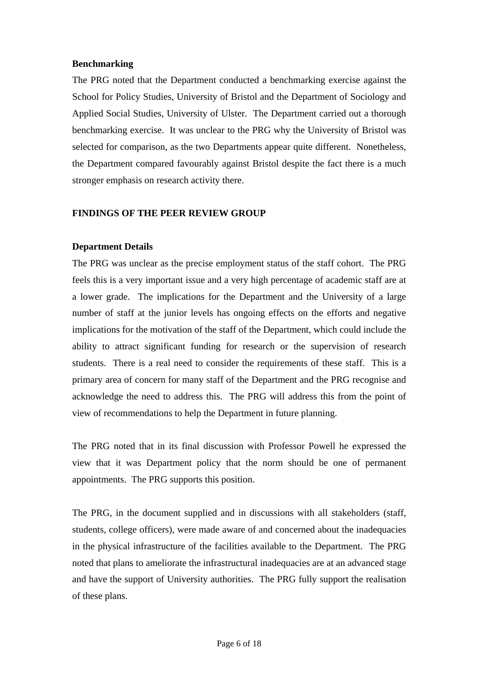#### **Benchmarking**

The PRG noted that the Department conducted a benchmarking exercise against the School for Policy Studies, University of Bristol and the Department of Sociology and Applied Social Studies, University of Ulster. The Department carried out a thorough benchmarking exercise. It was unclear to the PRG why the University of Bristol was selected for comparison, as the two Departments appear quite different. Nonetheless, the Department compared favourably against Bristol despite the fact there is a much stronger emphasis on research activity there.

#### **FINDINGS OF THE PEER REVIEW GROUP**

#### **Department Details**

The PRG was unclear as the precise employment status of the staff cohort. The PRG feels this is a very important issue and a very high percentage of academic staff are at a lower grade. The implications for the Department and the University of a large number of staff at the junior levels has ongoing effects on the efforts and negative implications for the motivation of the staff of the Department, which could include the ability to attract significant funding for research or the supervision of research students. There is a real need to consider the requirements of these staff. This is a primary area of concern for many staff of the Department and the PRG recognise and acknowledge the need to address this. The PRG will address this from the point of view of recommendations to help the Department in future planning.

The PRG noted that in its final discussion with Professor Powell he expressed the view that it was Department policy that the norm should be one of permanent appointments. The PRG supports this position.

The PRG, in the document supplied and in discussions with all stakeholders (staff, students, college officers), were made aware of and concerned about the inadequacies in the physical infrastructure of the facilities available to the Department. The PRG noted that plans to ameliorate the infrastructural inadequacies are at an advanced stage and have the support of University authorities. The PRG fully support the realisation of these plans.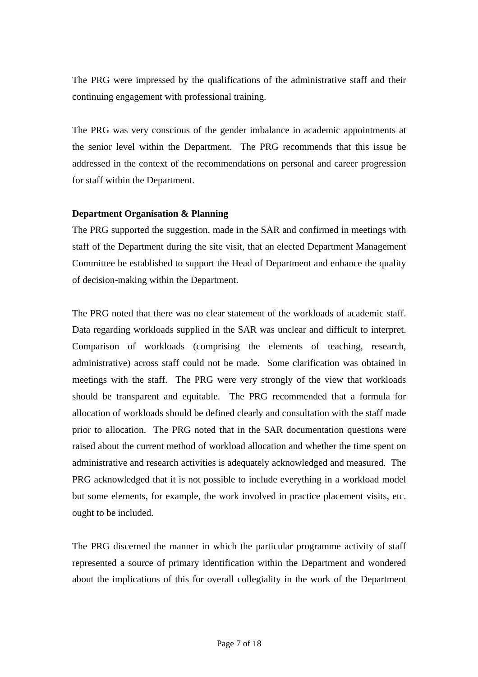The PRG were impressed by the qualifications of the administrative staff and their continuing engagement with professional training.

The PRG was very conscious of the gender imbalance in academic appointments at the senior level within the Department. The PRG recommends that this issue be addressed in the context of the recommendations on personal and career progression for staff within the Department.

#### **Department Organisation & Planning**

The PRG supported the suggestion, made in the SAR and confirmed in meetings with staff of the Department during the site visit, that an elected Department Management Committee be established to support the Head of Department and enhance the quality of decision-making within the Department.

The PRG noted that there was no clear statement of the workloads of academic staff. Data regarding workloads supplied in the SAR was unclear and difficult to interpret. Comparison of workloads (comprising the elements of teaching, research, administrative) across staff could not be made. Some clarification was obtained in meetings with the staff. The PRG were very strongly of the view that workloads should be transparent and equitable. The PRG recommended that a formula for allocation of workloads should be defined clearly and consultation with the staff made prior to allocation. The PRG noted that in the SAR documentation questions were raised about the current method of workload allocation and whether the time spent on administrative and research activities is adequately acknowledged and measured. The PRG acknowledged that it is not possible to include everything in a workload model but some elements, for example, the work involved in practice placement visits, etc. ought to be included.

The PRG discerned the manner in which the particular programme activity of staff represented a source of primary identification within the Department and wondered about the implications of this for overall collegiality in the work of the Department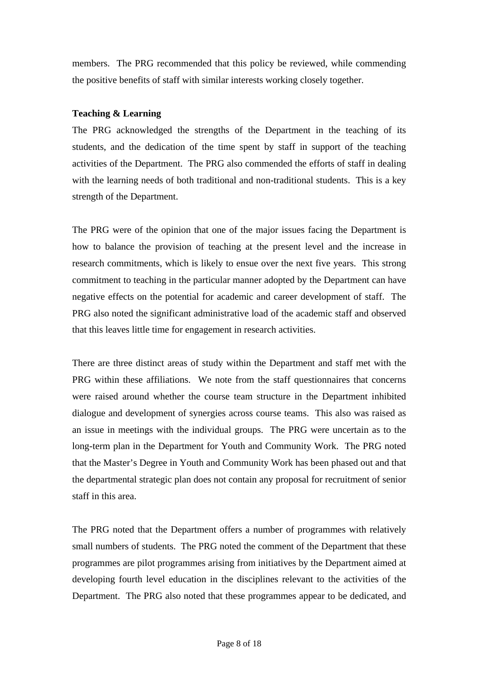members. The PRG recommended that this policy be reviewed, while commending the positive benefits of staff with similar interests working closely together.

#### **Teaching & Learning**

The PRG acknowledged the strengths of the Department in the teaching of its students, and the dedication of the time spent by staff in support of the teaching activities of the Department. The PRG also commended the efforts of staff in dealing with the learning needs of both traditional and non-traditional students. This is a key strength of the Department.

The PRG were of the opinion that one of the major issues facing the Department is how to balance the provision of teaching at the present level and the increase in research commitments, which is likely to ensue over the next five years. This strong commitment to teaching in the particular manner adopted by the Department can have negative effects on the potential for academic and career development of staff. The PRG also noted the significant administrative load of the academic staff and observed that this leaves little time for engagement in research activities.

There are three distinct areas of study within the Department and staff met with the PRG within these affiliations. We note from the staff questionnaires that concerns were raised around whether the course team structure in the Department inhibited dialogue and development of synergies across course teams. This also was raised as an issue in meetings with the individual groups. The PRG were uncertain as to the long-term plan in the Department for Youth and Community Work. The PRG noted that the Master's Degree in Youth and Community Work has been phased out and that the departmental strategic plan does not contain any proposal for recruitment of senior staff in this area.

The PRG noted that the Department offers a number of programmes with relatively small numbers of students. The PRG noted the comment of the Department that these programmes are pilot programmes arising from initiatives by the Department aimed at developing fourth level education in the disciplines relevant to the activities of the Department. The PRG also noted that these programmes appear to be dedicated, and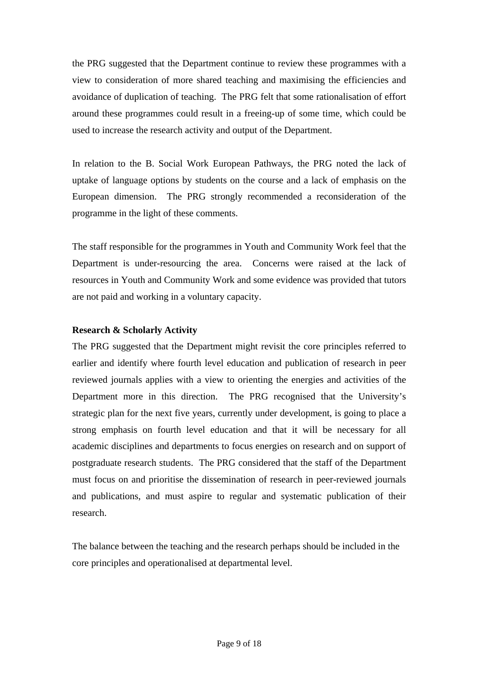the PRG suggested that the Department continue to review these programmes with a view to consideration of more shared teaching and maximising the efficiencies and avoidance of duplication of teaching. The PRG felt that some rationalisation of effort around these programmes could result in a freeing-up of some time, which could be used to increase the research activity and output of the Department.

In relation to the B. Social Work European Pathways, the PRG noted the lack of uptake of language options by students on the course and a lack of emphasis on the European dimension. The PRG strongly recommended a reconsideration of the programme in the light of these comments.

The staff responsible for the programmes in Youth and Community Work feel that the Department is under-resourcing the area. Concerns were raised at the lack of resources in Youth and Community Work and some evidence was provided that tutors are not paid and working in a voluntary capacity.

#### **Research & Scholarly Activity**

The PRG suggested that the Department might revisit the core principles referred to earlier and identify where fourth level education and publication of research in peer reviewed journals applies with a view to orienting the energies and activities of the Department more in this direction. The PRG recognised that the University's strategic plan for the next five years, currently under development, is going to place a strong emphasis on fourth level education and that it will be necessary for all academic disciplines and departments to focus energies on research and on support of postgraduate research students. The PRG considered that the staff of the Department must focus on and prioritise the dissemination of research in peer-reviewed journals and publications, and must aspire to regular and systematic publication of their research.

The balance between the teaching and the research perhaps should be included in the core principles and operationalised at departmental level.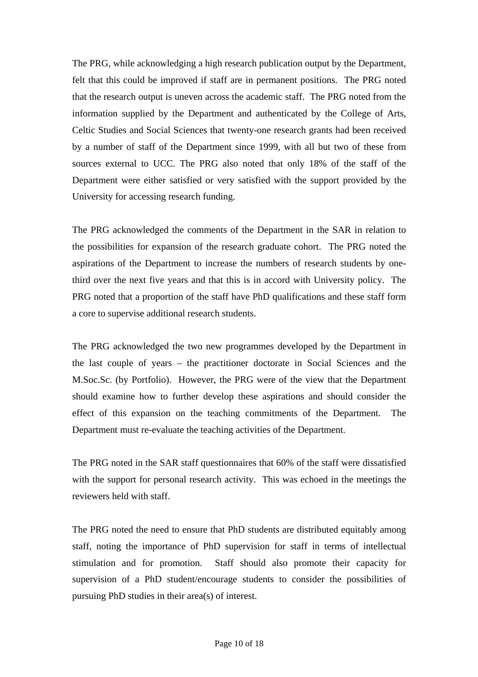The PRG, while acknowledging a high research publication output by the Department, felt that this could be improved if staff are in permanent positions. The PRG noted that the research output is uneven across the academic staff. The PRG noted from the information supplied by the Department and authenticated by the College of Arts, Celtic Studies and Social Sciences that twenty-one research grants had been received by a number of staff of the Department since 1999, with all but two of these from sources external to UCC. The PRG also noted that only 18% of the staff of the Department were either satisfied or very satisfied with the support provided by the University for accessing research funding.

The PRG acknowledged the comments of the Department in the SAR in relation to the possibilities for expansion of the research graduate cohort. The PRG noted the aspirations of the Department to increase the numbers of research students by onethird over the next five years and that this is in accord with University policy. The PRG noted that a proportion of the staff have PhD qualifications and these staff form a core to supervise additional research students.

The PRG acknowledged the two new programmes developed by the Department in the last couple of years – the practitioner doctorate in Social Sciences and the M.Soc.Sc. (by Portfolio). However, the PRG were of the view that the Department should examine how to further develop these aspirations and should consider the effect of this expansion on the teaching commitments of the Department. The Department must re-evaluate the teaching activities of the Department.

The PRG noted in the SAR staff questionnaires that 60% of the staff were dissatisfied with the support for personal research activity. This was echoed in the meetings the reviewers held with staff.

The PRG noted the need to ensure that PhD students are distributed equitably among staff, noting the importance of PhD supervision for staff in terms of intellectual stimulation and for promotion. Staff should also promote their capacity for supervision of a PhD student/encourage students to consider the possibilities of pursuing PhD studies in their area(s) of interest.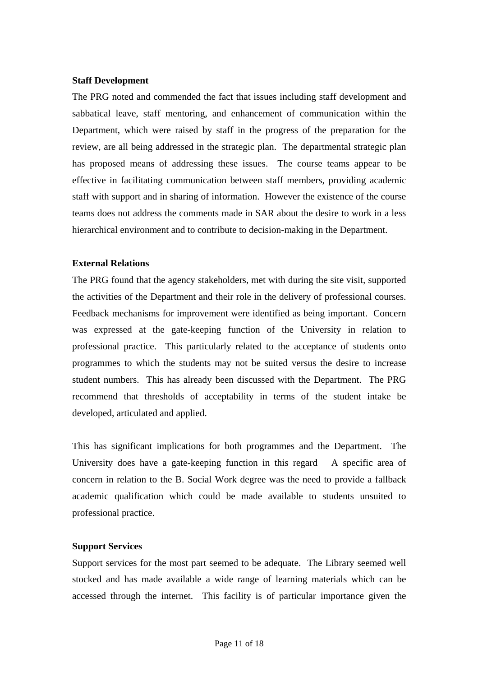#### **Staff Development**

The PRG noted and commended the fact that issues including staff development and sabbatical leave, staff mentoring, and enhancement of communication within the Department, which were raised by staff in the progress of the preparation for the review, are all being addressed in the strategic plan. The departmental strategic plan has proposed means of addressing these issues. The course teams appear to be effective in facilitating communication between staff members, providing academic staff with support and in sharing of information. However the existence of the course teams does not address the comments made in SAR about the desire to work in a less hierarchical environment and to contribute to decision-making in the Department.

#### **External Relations**

The PRG found that the agency stakeholders, met with during the site visit, supported the activities of the Department and their role in the delivery of professional courses. Feedback mechanisms for improvement were identified as being important. Concern was expressed at the gate-keeping function of the University in relation to professional practice. This particularly related to the acceptance of students onto programmes to which the students may not be suited versus the desire to increase student numbers. This has already been discussed with the Department. The PRG recommend that thresholds of acceptability in terms of the student intake be developed, articulated and applied.

This has significant implications for both programmes and the Department. The University does have a gate-keeping function in this regard A specific area of concern in relation to the B. Social Work degree was the need to provide a fallback academic qualification which could be made available to students unsuited to professional practice.

#### **Support Services**

Support services for the most part seemed to be adequate. The Library seemed well stocked and has made available a wide range of learning materials which can be accessed through the internet. This facility is of particular importance given the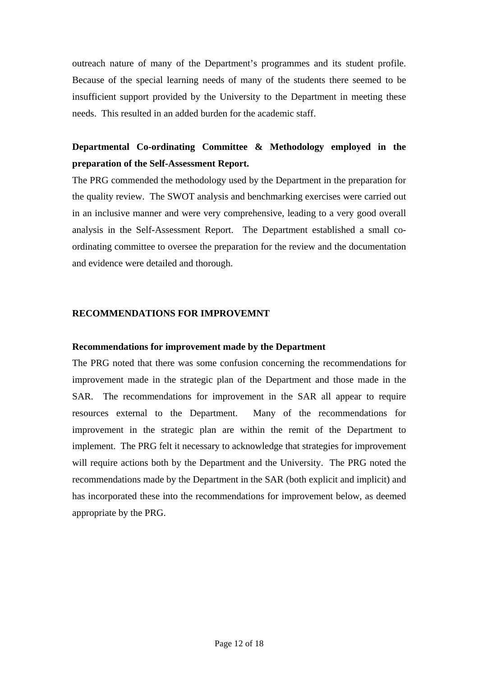outreach nature of many of the Department's programmes and its student profile. Because of the special learning needs of many of the students there seemed to be insufficient support provided by the University to the Department in meeting these needs. This resulted in an added burden for the academic staff.

### **Departmental Co-ordinating Committee & Methodology employed in the preparation of the Self-Assessment Report.**

The PRG commended the methodology used by the Department in the preparation for the quality review. The SWOT analysis and benchmarking exercises were carried out in an inclusive manner and were very comprehensive, leading to a very good overall analysis in the Self-Assessment Report. The Department established a small coordinating committee to oversee the preparation for the review and the documentation and evidence were detailed and thorough.

#### **RECOMMENDATIONS FOR IMPROVEMNT**

#### **Recommendations for improvement made by the Department**

The PRG noted that there was some confusion concerning the recommendations for improvement made in the strategic plan of the Department and those made in the SAR. The recommendations for improvement in the SAR all appear to require resources external to the Department. Many of the recommendations for improvement in the strategic plan are within the remit of the Department to implement. The PRG felt it necessary to acknowledge that strategies for improvement will require actions both by the Department and the University. The PRG noted the recommendations made by the Department in the SAR (both explicit and implicit) and has incorporated these into the recommendations for improvement below, as deemed appropriate by the PRG.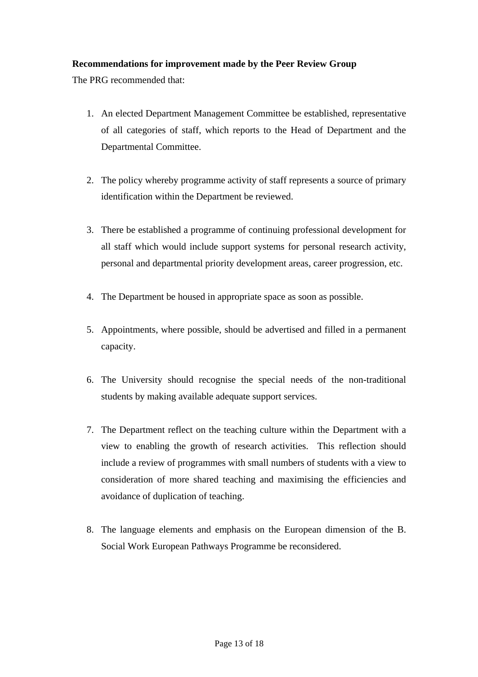#### **Recommendations for improvement made by the Peer Review Group**

The PRG recommended that:

- 1. An elected Department Management Committee be established, representative of all categories of staff, which reports to the Head of Department and the Departmental Committee.
- 2. The policy whereby programme activity of staff represents a source of primary identification within the Department be reviewed.
- 3. There be established a programme of continuing professional development for all staff which would include support systems for personal research activity, personal and departmental priority development areas, career progression, etc.
- 4. The Department be housed in appropriate space as soon as possible.
- 5. Appointments, where possible, should be advertised and filled in a permanent capacity.
- 6. The University should recognise the special needs of the non-traditional students by making available adequate support services.
- 7. The Department reflect on the teaching culture within the Department with a view to enabling the growth of research activities. This reflection should include a review of programmes with small numbers of students with a view to consideration of more shared teaching and maximising the efficiencies and avoidance of duplication of teaching.
- 8. The language elements and emphasis on the European dimension of the B. Social Work European Pathways Programme be reconsidered.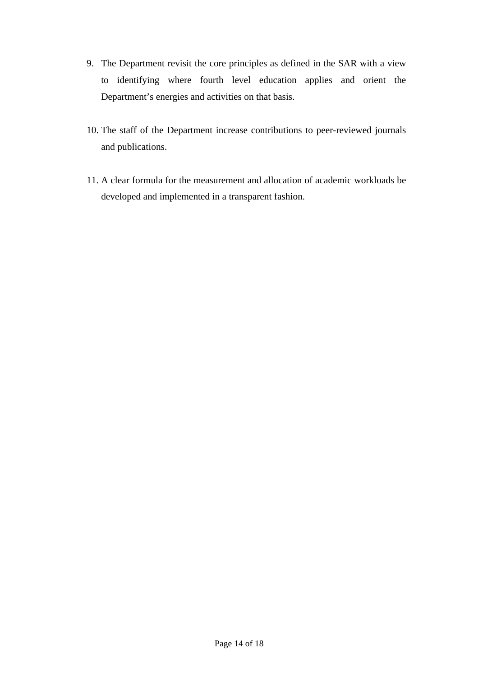- 9. The Department revisit the core principles as defined in the SAR with a view to identifying where fourth level education applies and orient the Department's energies and activities on that basis.
- 10. The staff of the Department increase contributions to peer-reviewed journals and publications.
- 11. A clear formula for the measurement and allocation of academic workloads be developed and implemented in a transparent fashion.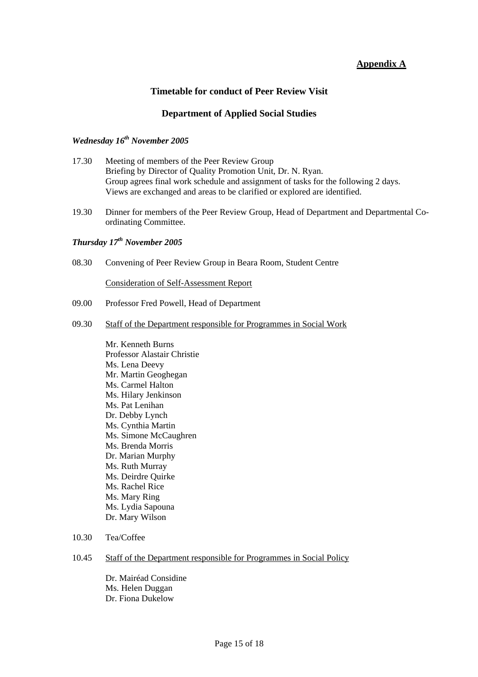#### **Appendix A**

#### **Timetable for conduct of Peer Review Visit**

#### **Department of Applied Social Studies**

#### *Wednesday 16th November 2005*

- 17.30 Meeting of members of the Peer Review Group Briefing by Director of Quality Promotion Unit, Dr. N. Ryan. Group agrees final work schedule and assignment of tasks for the following 2 days. Views are exchanged and areas to be clarified or explored are identified.
- 19.30 Dinner for members of the Peer Review Group, Head of Department and Departmental Coordinating Committee.

#### *Thursday 17th November 2005*

08.30 Convening of Peer Review Group in Beara Room, Student Centre

Consideration of Self-Assessment Report

- 09.00 Professor Fred Powell, Head of Department
- 09.30 Staff of the Department responsible for Programmes in Social Work

Mr. Kenneth Burns Professor Alastair Christie Ms. Lena Deevy Mr. Martin Geoghegan Ms. Carmel Halton Ms. Hilary Jenkinson Ms. Pat Lenihan Dr. Debby Lynch Ms. Cynthia Martin Ms. Simone McCaughren Ms. Brenda Morris Dr. Marian Murphy Ms. Ruth Murray Ms. Deirdre Quirke Ms. Rachel Rice Ms. Mary Ring Ms. Lydia Sapouna Dr. Mary Wilson

- 10.30 Tea/Coffee
- 10.45 Staff of the Department responsible for Programmes in Social Policy

Dr. Mairéad Considine Ms. Helen Duggan Dr. Fiona Dukelow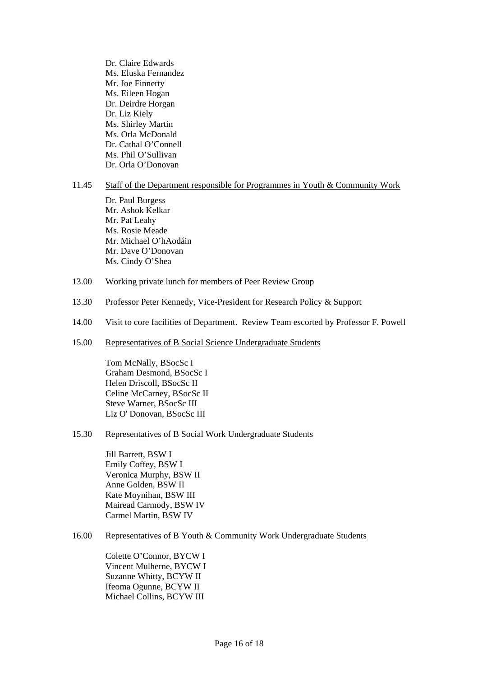Dr. Claire Edwards Ms. Eluska Fernandez Mr. Joe Finnerty Ms. Eileen Hogan Dr. Deirdre Horgan Dr. Liz Kiely Ms. Shirley Martin Ms. Orla McDonald Dr. Cathal O'Connell Ms. Phil O'Sullivan Dr. Orla O'Donovan

#### 11.45 Staff of the Department responsible for Programmes in Youth & Community Work

- Dr. Paul Burgess Mr. Ashok Kelkar Mr. Pat Leahy Ms. Rosie Meade Mr. Michael O'hAodáin Mr. Dave O'Donovan Ms. Cindy O'Shea
- 13.00 Working private lunch for members of Peer Review Group
- 13.30 Professor Peter Kennedy, Vice-President for Research Policy & Support
- 14.00 Visit to core facilities of Department. Review Team escorted by Professor F. Powell

#### 15.00 Representatives of B Social Science Undergraduate Students

Tom McNally, BSocSc I Graham Desmond, BSocSc I Helen Driscoll, BSocSc II Celine McCarney, BSocSc II Steve Warner, BSocSc III Liz O' Donovan, BSocSc III

#### 15.30 Representatives of B Social Work Undergraduate Students

Jill Barrett, BSW I Emily Coffey, BSW I Veronica Murphy, BSW II Anne Golden, BSW II Kate Moynihan, BSW III Mairead Carmody, BSW IV Carmel Martin, BSW IV

#### 16.00 Representatives of B Youth & Community Work Undergraduate Students

Colette O'Connor, BYCW I Vincent Mulherne, BYCW I Suzanne Whitty, BCYW II Ifeoma Ogunne, BCYW II Michael Collins, BCYW III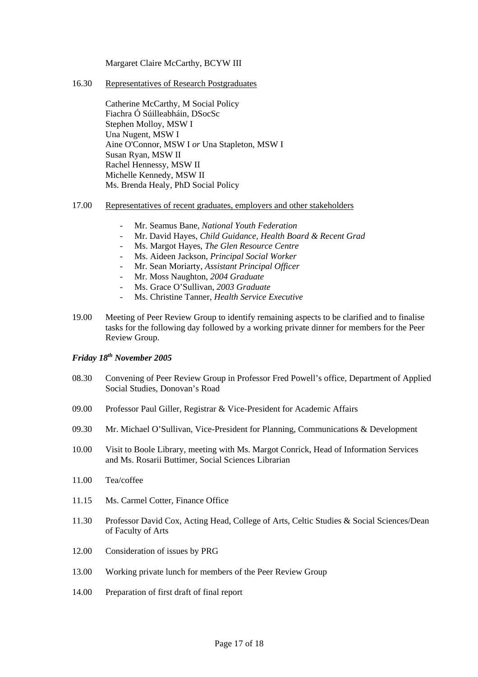Margaret Claire McCarthy, BCYW III

16.30 Representatives of Research Postgraduates

Catherine McCarthy, M Social Policy Fiachra Ó Súilleabháin, DSocSc Stephen Molloy, MSW I Una Nugent, MSW I Aine O'Connor, MSW I *or* Una Stapleton, MSW I Susan Ryan, MSW II Rachel Hennessy, MSW II Michelle Kennedy, MSW II Ms. Brenda Healy, PhD Social Policy

#### 17.00 Representatives of recent graduates, employers and other stakeholders

- Mr. Seamus Bane, *National Youth Federation*
- Mr. David Hayes, *Child Guidance, Health Board & Recent Grad*
- Ms. Margot Hayes, *The Glen Resource Centre*
- Ms. Aideen Jackson, *Principal Social Worker*
- Mr. Sean Moriarty, *Assistant Principal Officer*
- Mr. Moss Naughton, *2004 Graduate*
- Ms. Grace O'Sullivan, *2003 Graduate*
- Ms. Christine Tanner, *Health Service Executive*
- 19.00 Meeting of Peer Review Group to identify remaining aspects to be clarified and to finalise tasks for the following day followed by a working private dinner for members for the Peer Review Group.

#### *Friday 18th November 2005*

- 08.30 Convening of Peer Review Group in Professor Fred Powell's office, Department of Applied Social Studies, Donovan's Road
- 09.00 Professor Paul Giller, Registrar & Vice-President for Academic Affairs
- 09.30 Mr. Michael O'Sullivan, Vice-President for Planning, Communications & Development
- 10.00 Visit to Boole Library, meeting with Ms. Margot Conrick, Head of Information Services and Ms. Rosarii Buttimer, Social Sciences Librarian
- 11.00 Tea/coffee
- 11.15 Ms. Carmel Cotter, Finance Office
- 11.30 Professor David Cox, Acting Head, College of Arts, Celtic Studies & Social Sciences/Dean of Faculty of Arts
- 12.00 Consideration of issues by PRG
- 13.00 Working private lunch for members of the Peer Review Group
- 14.00 Preparation of first draft of final report